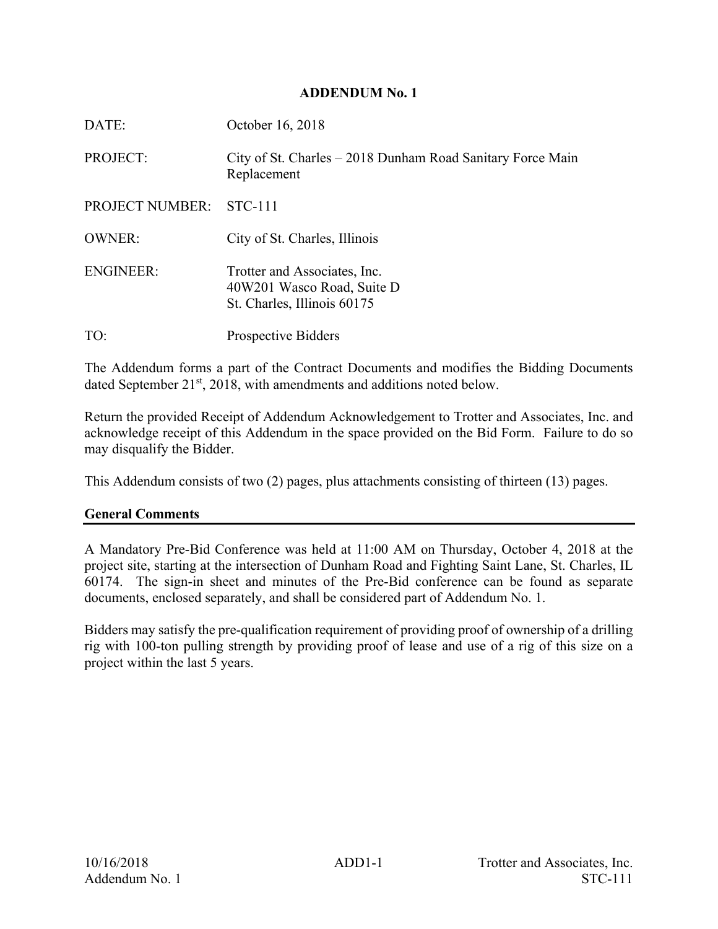#### **ADDENDUM No. 1**

| DATE:                  | October 16, 2018                                                                          |
|------------------------|-------------------------------------------------------------------------------------------|
| <b>PROJECT:</b>        | City of St. Charles – 2018 Dunham Road Sanitary Force Main<br>Replacement                 |
| <b>PROJECT NUMBER:</b> | STC-111                                                                                   |
| <b>OWNER:</b>          | City of St. Charles, Illinois                                                             |
| <b>ENGINEER:</b>       | Trotter and Associates, Inc.<br>40W201 Wasco Road, Suite D<br>St. Charles, Illinois 60175 |
| TO:                    | <b>Prospective Bidders</b>                                                                |

The Addendum forms a part of the Contract Documents and modifies the Bidding Documents dated September 21<sup>st</sup>, 2018, with amendments and additions noted below.

Return the provided Receipt of Addendum Acknowledgement to Trotter and Associates, Inc. and acknowledge receipt of this Addendum in the space provided on the Bid Form. Failure to do so may disqualify the Bidder.

This Addendum consists of two (2) pages, plus attachments consisting of thirteen (13) pages.

### **General Comments**

A Mandatory Pre-Bid Conference was held at 11:00 AM on Thursday, October 4, 2018 at the project site, starting at the intersection of Dunham Road and Fighting Saint Lane, St. Charles, IL 60174. The sign-in sheet and minutes of the Pre-Bid conference can be found as separate documents, enclosed separately, and shall be considered part of Addendum No. 1.

Bidders may satisfy the pre-qualification requirement of providing proof of ownership of a drilling rig with 100-ton pulling strength by providing proof of lease and use of a rig of this size on a project within the last 5 years.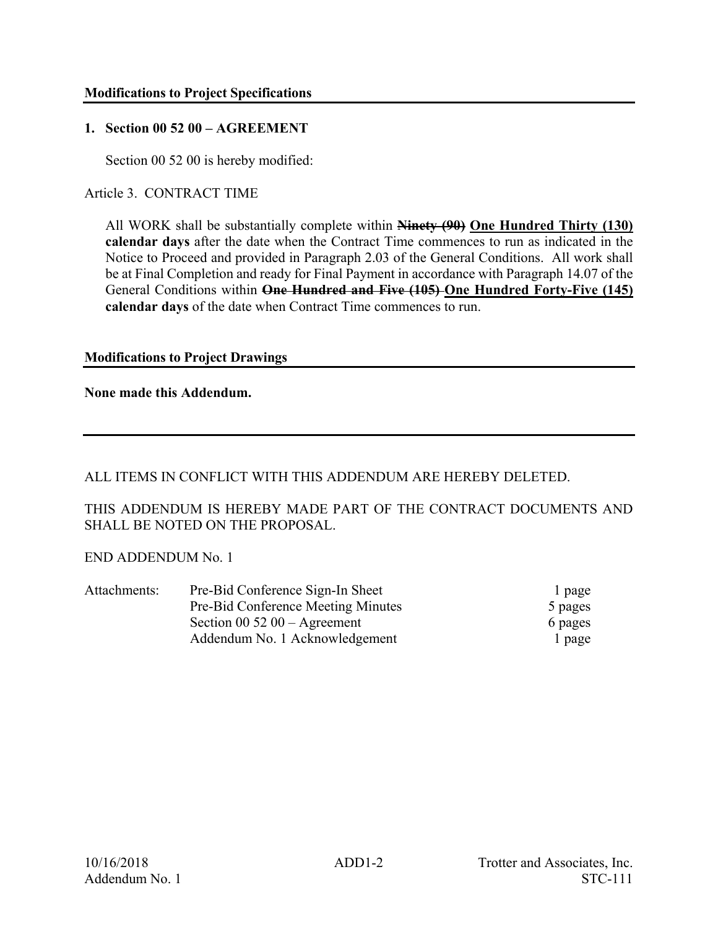### **1. Section 00 52 00 – AGREEMENT**

Section 00 52 00 is hereby modified:

Article 3. CONTRACT TIME

All WORK shall be substantially complete within **Ninety (90) One Hundred Thirty (130) calendar days** after the date when the Contract Time commences to run as indicated in the Notice to Proceed and provided in Paragraph 2.03 of the General Conditions. All work shall be at Final Completion and ready for Final Payment in accordance with Paragraph 14.07 of the General Conditions within **One Hundred and Five (105) One Hundred Forty-Five (145) calendar days** of the date when Contract Time commences to run.

### **Modifications to Project Drawings**

**None made this Addendum.** 

ALL ITEMS IN CONFLICT WITH THIS ADDENDUM ARE HEREBY DELETED.

THIS ADDENDUM IS HEREBY MADE PART OF THE CONTRACT DOCUMENTS AND SHALL BE NOTED ON THE PROPOSAL.

END ADDENDUM No. 1

| Attachments: | Pre-Bid Conference Sign-In Sheet   | l page  |
|--------------|------------------------------------|---------|
|              | Pre-Bid Conference Meeting Minutes | 5 pages |
|              | Section 00 52 00 $-$ Agreement     | 6 pages |
|              | Addendum No. 1 Acknowledgement     | l page  |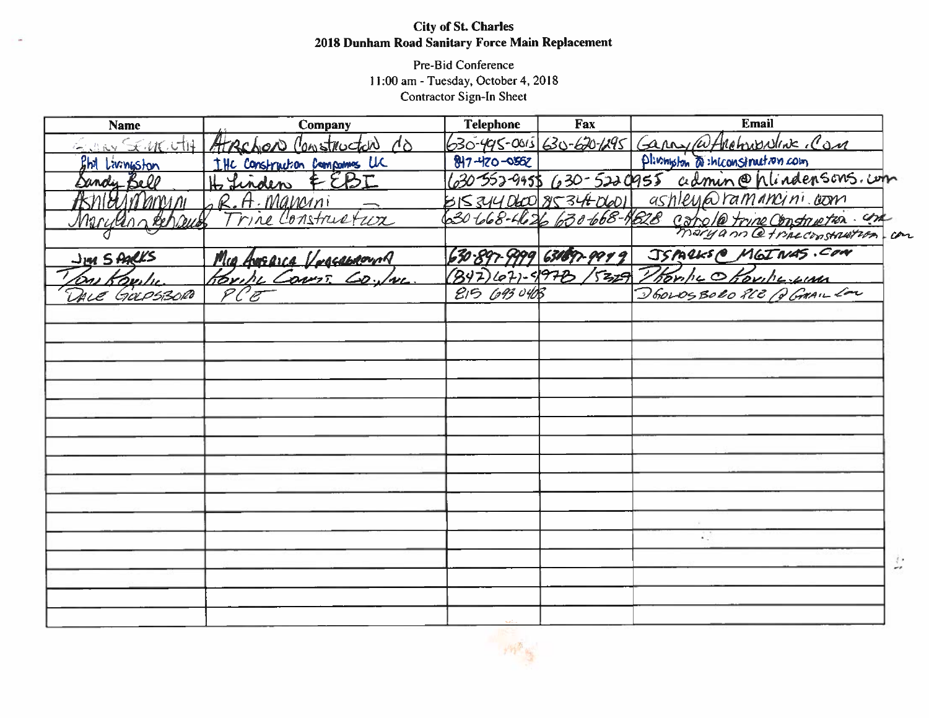### **City of St. Charles** 2018 Dunham Road Sanitary Force Main Replacement

Pre-Bid Conference 11:00 am - Tuesday, October 4, 2018 Contractor Sign-In Sheet

| <b>Name</b>            | Company                                 | <b>Telephone</b>   | Fax                              | <b>Email</b>                                              |    |
|------------------------|-----------------------------------------|--------------------|----------------------------------|-----------------------------------------------------------|----|
|                        | Event SEMENTH Atrachoro Construction Co |                    |                                  | 630-495-0015 630-620-1295 Garny Whichwaller Con           |    |
| <b>Phil Livingston</b> | THE CONStruction Compones LLC           | $817 - 120 - 0552$ |                                  | Plivington a inconstruction com                           |    |
| Dandy Bell             | H Linden EEBI                           |                    |                                  | 630-552-9955 630-5220955 admin@hlindensons.com            |    |
|                        | ASnieurnmon GR.A. Mancini               |                    |                                  | BIS344060 853460601 ashley@ramancini.com                  |    |
|                        |                                         |                    |                                  | 30 tob8-the 26 630 668-1628 concle trine Construction and |    |
|                        |                                         |                    |                                  |                                                           |    |
| <u>Jun Starks</u>      | <u>Mig Ausgica Vergeaboung</u>          |                    | 630-897-9999 631697-99 <u>99</u> | JSPARKS@ MGINAS.COM                                       |    |
| The Koulu              | Brike Cours. Co.luc                     | $(347)(07)-997B$   |                                  | 5329 Thomps Oborneyum                                     |    |
| DALE GOLPSBORO         |                                         | 215 693 0403       |                                  | DEOLOSBORO RCE Q GAAILLON                                 |    |
|                        |                                         |                    |                                  |                                                           |    |
|                        |                                         |                    |                                  |                                                           |    |
|                        |                                         |                    |                                  |                                                           |    |
|                        |                                         |                    |                                  |                                                           |    |
|                        |                                         |                    |                                  |                                                           |    |
|                        |                                         |                    |                                  |                                                           |    |
|                        |                                         |                    |                                  |                                                           |    |
|                        |                                         |                    |                                  |                                                           |    |
|                        |                                         |                    |                                  |                                                           |    |
|                        |                                         |                    |                                  |                                                           |    |
|                        |                                         |                    |                                  |                                                           |    |
|                        |                                         |                    |                                  |                                                           |    |
|                        |                                         |                    |                                  | 4                                                         |    |
|                        |                                         |                    |                                  |                                                           | ş. |
|                        |                                         |                    |                                  |                                                           |    |
|                        |                                         |                    |                                  |                                                           |    |
|                        |                                         |                    |                                  |                                                           |    |
|                        |                                         |                    |                                  |                                                           |    |

 $-193 - 66$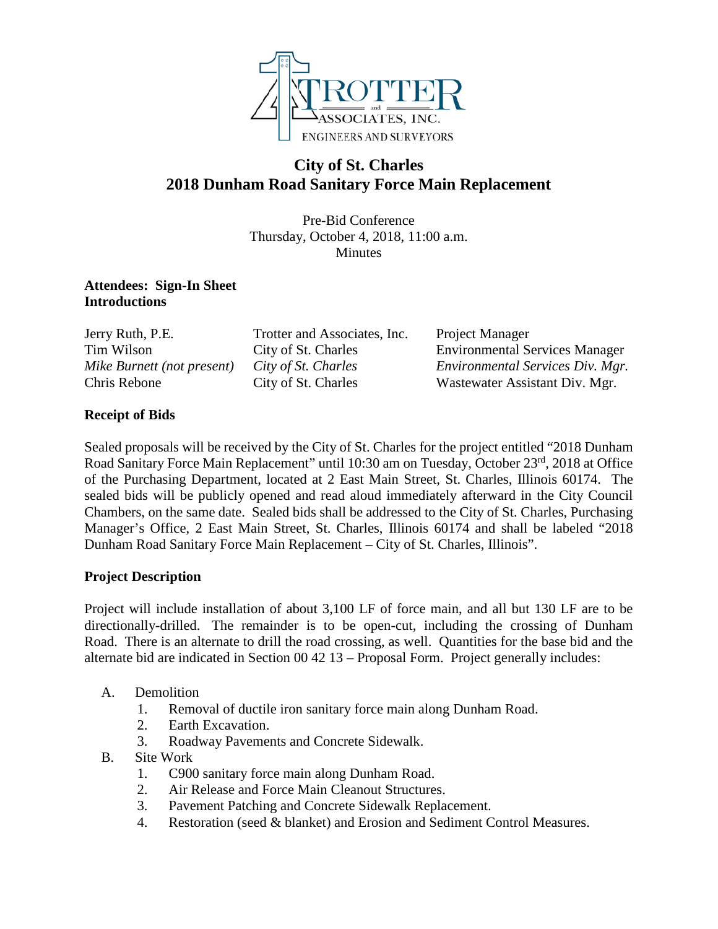

## **City of St. Charles 2018 Dunham Road Sanitary Force Main Replacement**

Pre-Bid Conference Thursday, October 4, 2018, 11:00 a.m. Minutes

#### **Attendees: Sign-In Sheet Introductions**

Jerry Ruth, P.E. Trotter and Associates, Inc. Project Manager

Tim Wilson City of St. Charles Environmental Services Manager *Mike Burnett (not present) City of St. Charles Environmental Services Div. Mgr.* Chris Rebone City of St. Charles Wastewater Assistant Div. Mgr.

### **Receipt of Bids**

Sealed proposals will be received by the City of St. Charles for the project entitled "2018 Dunham Road Sanitary Force Main Replacement" until 10:30 am on Tuesday, October 23<sup>rd</sup>, 2018 at Office of the Purchasing Department, located at 2 East Main Street, St. Charles, Illinois 60174. The sealed bids will be publicly opened and read aloud immediately afterward in the City Council Chambers, on the same date. Sealed bids shall be addressed to the City of St. Charles, Purchasing Manager's Office, 2 East Main Street, St. Charles, Illinois 60174 and shall be labeled "2018 Dunham Road Sanitary Force Main Replacement – City of St. Charles, Illinois".

### **Project Description**

Project will include installation of about 3,100 LF of force main, and all but 130 LF are to be directionally-drilled. The remainder is to be open-cut, including the crossing of Dunham Road. There is an alternate to drill the road crossing, as well. Quantities for the base bid and the alternate bid are indicated in Section 00 42 13 – Proposal Form. Project generally includes:

- A. Demolition
	- 1. Removal of ductile iron sanitary force main along Dunham Road.
	- 2. Earth Excavation.
	- 3. Roadway Pavements and Concrete Sidewalk.
- B. Site Work
	- 1. C900 sanitary force main along Dunham Road.
	- 2. Air Release and Force Main Cleanout Structures.
	- 3. Pavement Patching and Concrete Sidewalk Replacement.
	- 4. Restoration (seed & blanket) and Erosion and Sediment Control Measures.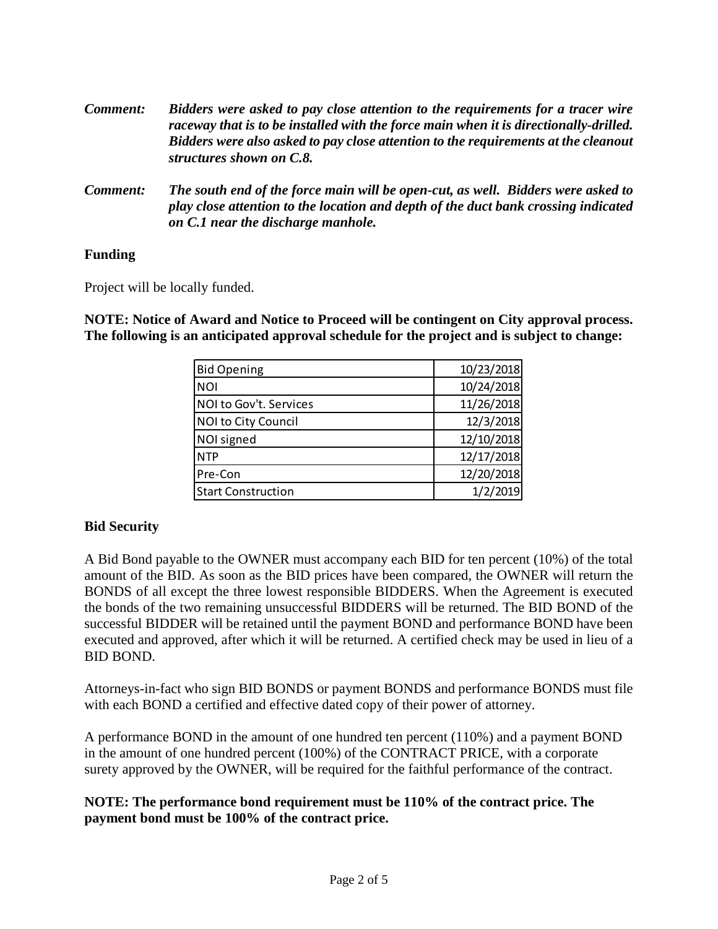| <b>Comment:</b> | Bidders were asked to pay close attention to the requirements for a tracer wire<br>raceway that is to be installed with the force main when it is directionally-drilled.<br>Bidders were also asked to pay close attention to the requirements at the cleanout<br>structures shown on C.8. |  |
|-----------------|--------------------------------------------------------------------------------------------------------------------------------------------------------------------------------------------------------------------------------------------------------------------------------------------|--|
| Comment:        | The south end of the force main will be open-cut, as well. Bidders were asked to<br>.                                                                                                                                                                                                      |  |

*play close attention to the location and depth of the duct bank crossing indicated on C.1 near the discharge manhole.* 

### **Funding**

Project will be locally funded.

**NOTE: Notice of Award and Notice to Proceed will be contingent on City approval process. The following is an anticipated approval schedule for the project and is subject to change:**

| <b>Bid Opening</b>        | 10/23/2018 |
|---------------------------|------------|
| <b>NOI</b>                | 10/24/2018 |
| NOI to Gov't. Services    | 11/26/2018 |
| NOI to City Council       | 12/3/2018  |
| NOI signed                | 12/10/2018 |
| <b>NTP</b>                | 12/17/2018 |
| Pre-Con                   | 12/20/2018 |
| <b>Start Construction</b> | 1/2/2019   |

### **Bid Security**

A Bid Bond payable to the OWNER must accompany each BID for ten percent (10%) of the total amount of the BID. As soon as the BID prices have been compared, the OWNER will return the BONDS of all except the three lowest responsible BIDDERS. When the Agreement is executed the bonds of the two remaining unsuccessful BIDDERS will be returned. The BID BOND of the successful BIDDER will be retained until the payment BOND and performance BOND have been executed and approved, after which it will be returned. A certified check may be used in lieu of a BID BOND.

Attorneys-in-fact who sign BID BONDS or payment BONDS and performance BONDS must file with each BOND a certified and effective dated copy of their power of attorney.

A performance BOND in the amount of one hundred ten percent (110%) and a payment BOND in the amount of one hundred percent (100%) of the CONTRACT PRICE, with a corporate surety approved by the OWNER, will be required for the faithful performance of the contract.

#### **NOTE: The performance bond requirement must be 110% of the contract price. The payment bond must be 100% of the contract price.**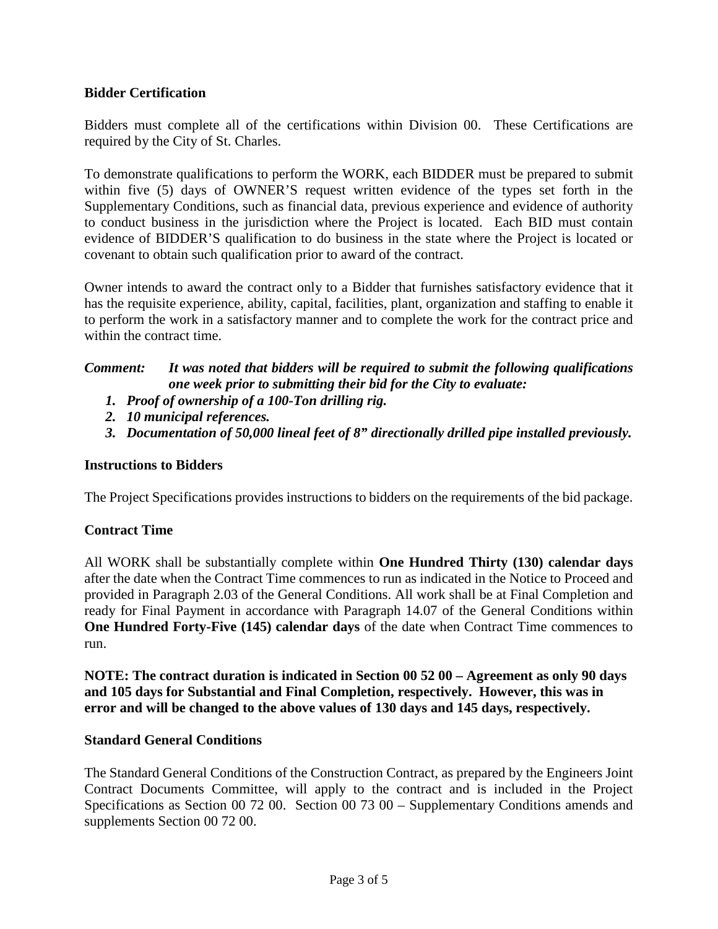### **Bidder Certification**

Bidders must complete all of the certifications within Division 00. These Certifications are required by the City of St. Charles.

To demonstrate qualifications to perform the WORK, each BIDDER must be prepared to submit within five (5) days of OWNER'S request written evidence of the types set forth in the Supplementary Conditions, such as financial data, previous experience and evidence of authority to conduct business in the jurisdiction where the Project is located. Each BID must contain evidence of BIDDER'S qualification to do business in the state where the Project is located or covenant to obtain such qualification prior to award of the contract.

Owner intends to award the contract only to a Bidder that furnishes satisfactory evidence that it has the requisite experience, ability, capital, facilities, plant, organization and staffing to enable it to perform the work in a satisfactory manner and to complete the work for the contract price and within the contract time.

### *Comment: It was noted that bidders will be required to submit the following qualifications one week prior to submitting their bid for the City to evaluate:*

- *1. Proof of ownership of a 100-Ton drilling rig.*
- *2. 10 municipal references.*
- *3. Documentation of 50,000 lineal feet of 8" directionally drilled pipe installed previously.*

#### **Instructions to Bidders**

The Project Specifications provides instructions to bidders on the requirements of the bid package.

### **Contract Time**

All WORK shall be substantially complete within **One Hundred Thirty (130) calendar days**  after the date when the Contract Time commences to run as indicated in the Notice to Proceed and provided in Paragraph 2.03 of the General Conditions. All work shall be at Final Completion and ready for Final Payment in accordance with Paragraph 14.07 of the General Conditions within **One Hundred Forty-Five (145) calendar days** of the date when Contract Time commences to run.

**NOTE: The contract duration is indicated in Section 00 52 00 – Agreement as only 90 days and 105 days for Substantial and Final Completion, respectively. However, this was in error and will be changed to the above values of 130 days and 145 days, respectively.**

#### **Standard General Conditions**

The Standard General Conditions of the Construction Contract, as prepared by the Engineers Joint Contract Documents Committee, will apply to the contract and is included in the Project Specifications as Section 00 72 00. Section 00 73 00 – Supplementary Conditions amends and supplements Section 00 72 00.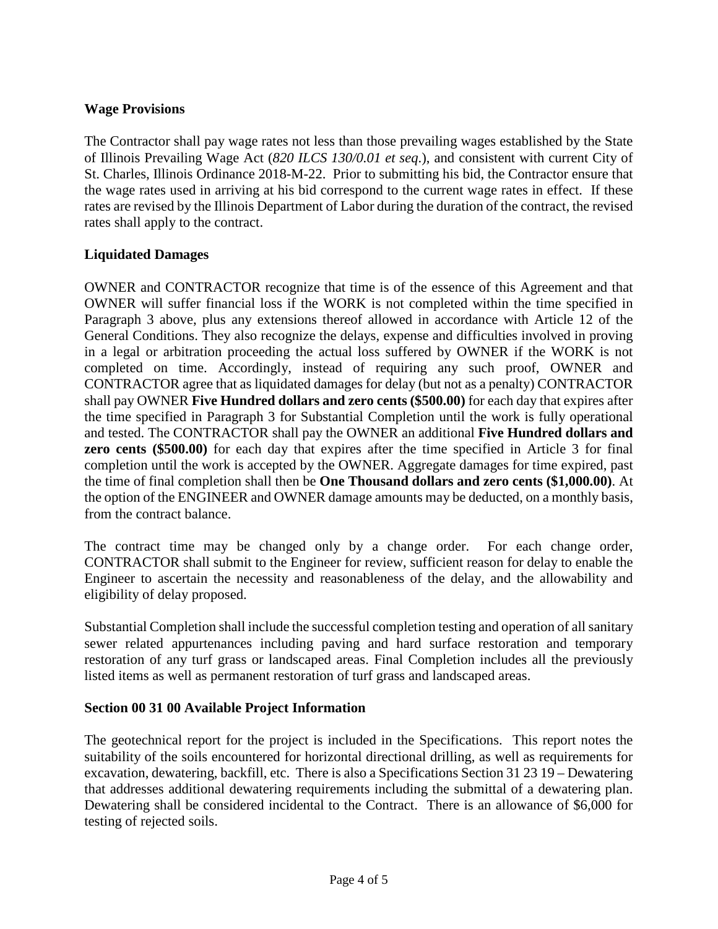### **Wage Provisions**

The Contractor shall pay wage rates not less than those prevailing wages established by the State of Illinois Prevailing Wage Act (*820 ILCS 130/0.01 et seq*.), and consistent with current City of St. Charles, Illinois Ordinance 2018-M-22. Prior to submitting his bid, the Contractor ensure that the wage rates used in arriving at his bid correspond to the current wage rates in effect. If these rates are revised by the Illinois Department of Labor during the duration of the contract, the revised rates shall apply to the contract.

### **Liquidated Damages**

OWNER and CONTRACTOR recognize that time is of the essence of this Agreement and that OWNER will suffer financial loss if the WORK is not completed within the time specified in Paragraph 3 above, plus any extensions thereof allowed in accordance with Article 12 of the General Conditions. They also recognize the delays, expense and difficulties involved in proving in a legal or arbitration proceeding the actual loss suffered by OWNER if the WORK is not completed on time. Accordingly, instead of requiring any such proof, OWNER and CONTRACTOR agree that as liquidated damages for delay (but not as a penalty) CONTRACTOR shall pay OWNER **Five Hundred dollars and zero cents (\$500.00)** for each day that expires after the time specified in Paragraph 3 for Substantial Completion until the work is fully operational and tested. The CONTRACTOR shall pay the OWNER an additional **Five Hundred dollars and zero cents (\$500.00)** for each day that expires after the time specified in Article 3 for final completion until the work is accepted by the OWNER. Aggregate damages for time expired, past the time of final completion shall then be **One Thousand dollars and zero cents (\$1,000.00)**. At the option of the ENGINEER and OWNER damage amounts may be deducted, on a monthly basis, from the contract balance.

The contract time may be changed only by a change order. For each change order, CONTRACTOR shall submit to the Engineer for review, sufficient reason for delay to enable the Engineer to ascertain the necessity and reasonableness of the delay, and the allowability and eligibility of delay proposed.

Substantial Completion shall include the successful completion testing and operation of allsanitary sewer related appurtenances including paving and hard surface restoration and temporary restoration of any turf grass or landscaped areas. Final Completion includes all the previously listed items as well as permanent restoration of turf grass and landscaped areas.

### **Section 00 31 00 Available Project Information**

The geotechnical report for the project is included in the Specifications. This report notes the suitability of the soils encountered for horizontal directional drilling, as well as requirements for excavation, dewatering, backfill, etc. There is also a Specifications Section 31 23 19 – Dewatering that addresses additional dewatering requirements including the submittal of a dewatering plan. Dewatering shall be considered incidental to the Contract. There is an allowance of \$6,000 for testing of rejected soils.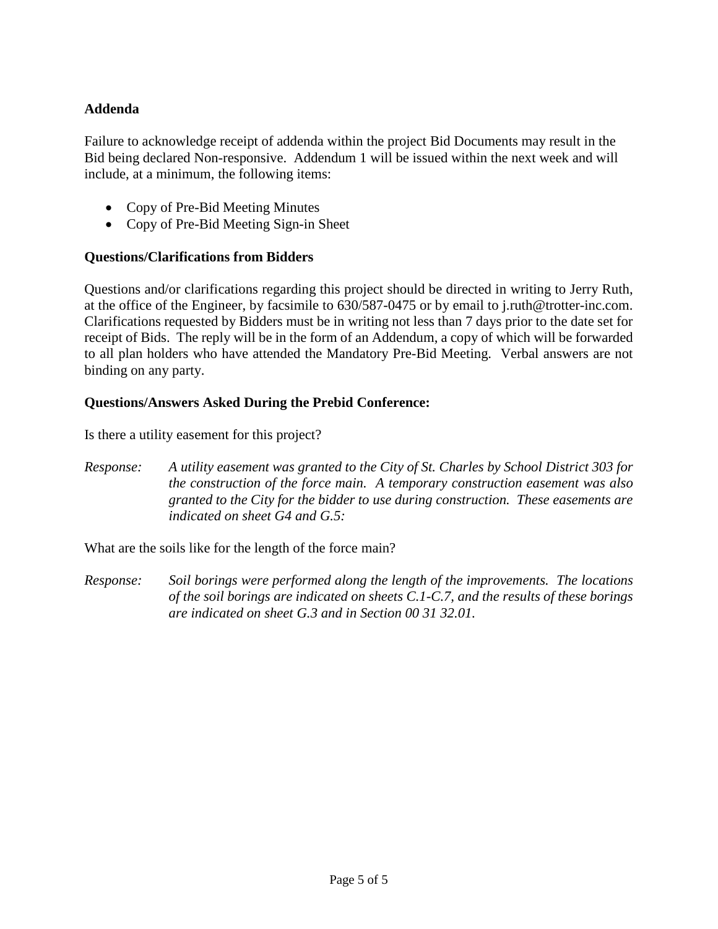### **Addenda**

Failure to acknowledge receipt of addenda within the project Bid Documents may result in the Bid being declared Non-responsive. Addendum 1 will be issued within the next week and will include, at a minimum, the following items:

- Copy of Pre-Bid Meeting Minutes
- Copy of Pre-Bid Meeting Sign-in Sheet

#### **Questions/Clarifications from Bidders**

Questions and/or clarifications regarding this project should be directed in writing to Jerry Ruth, at the office of the Engineer, by facsimile to 630/587-0475 or by email to j.ruth@trotter-inc.com. Clarifications requested by Bidders must be in writing not less than 7 days prior to the date set for receipt of Bids. The reply will be in the form of an Addendum, a copy of which will be forwarded to all plan holders who have attended the Mandatory Pre-Bid Meeting. Verbal answers are not binding on any party.

### **Questions/Answers Asked During the Prebid Conference:**

Is there a utility easement for this project?

*Response: A utility easement was granted to the City of St. Charles by School District 303 for the construction of the force main. A temporary construction easement was also granted to the City for the bidder to use during construction. These easements are indicated on sheet G4 and G.5:*

What are the soils like for the length of the force main?

*Response: Soil borings were performed along the length of the improvements. The locations of the soil borings are indicated on sheets C.1-C.7, and the results of these borings are indicated on sheet G.3 and in Section 00 31 32.01.*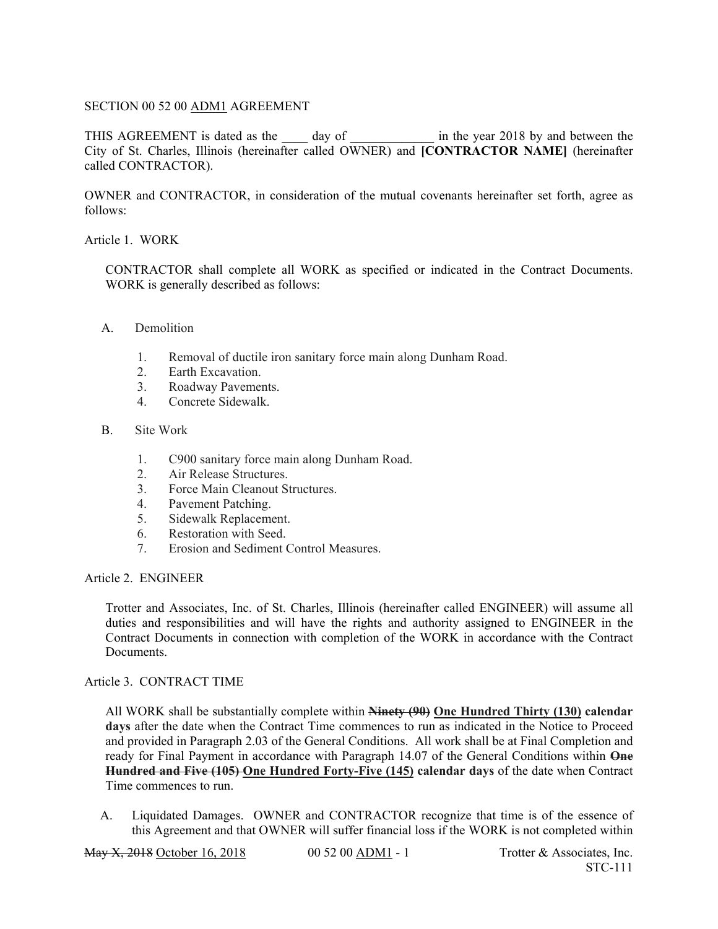#### SECTION 00 52 00 ADM1 AGREEMENT

THIS AGREEMENT is dated as the **\_\_\_\_** day of **\_\_\_\_\_\_\_\_\_\_\_\_\_** in the year 2018 by and between the City of St. Charles, Illinois (hereinafter called OWNER) and **[CONTRACTOR NAME]** (hereinafter called CONTRACTOR).

OWNER and CONTRACTOR, in consideration of the mutual covenants hereinafter set forth, agree as follows:

#### Article 1. WORK

CONTRACTOR shall complete all WORK as specified or indicated in the Contract Documents. WORK is generally described as follows:

#### A. Demolition

- 1. Removal of ductile iron sanitary force main along Dunham Road.
- 2. Earth Excavation.
- 3. Roadway Pavements.
- 4. Concrete Sidewalk.

#### B. Site Work

- 1. C900 sanitary force main along Dunham Road.
- 2. Air Release Structures.
- 3. Force Main Cleanout Structures.
- 4. Pavement Patching.
- 5. Sidewalk Replacement.
- 6. Restoration with Seed.
- 7. Erosion and Sediment Control Measures.

#### Article 2. ENGINEER

Trotter and Associates, Inc. of St. Charles, Illinois (hereinafter called ENGINEER) will assume all duties and responsibilities and will have the rights and authority assigned to ENGINEER in the Contract Documents in connection with completion of the WORK in accordance with the Contract Documents.

#### Article 3. CONTRACT TIME

All WORK shall be substantially complete within **Ninety (90) One Hundred Thirty (130) calendar days** after the date when the Contract Time commences to run as indicated in the Notice to Proceed and provided in Paragraph 2.03 of the General Conditions. All work shall be at Final Completion and ready for Final Payment in accordance with Paragraph 14.07 of the General Conditions within **One Hundred and Five (105) One Hundred Forty-Five (145) calendar days** of the date when Contract Time commences to run.

A. Liquidated Damages. OWNER and CONTRACTOR recognize that time is of the essence of this Agreement and that OWNER will suffer financial loss if the WORK is not completed within

May X, 2018 October 16, 2018 00 52 00 ADM1 - 1 Trotter & Associates, Inc.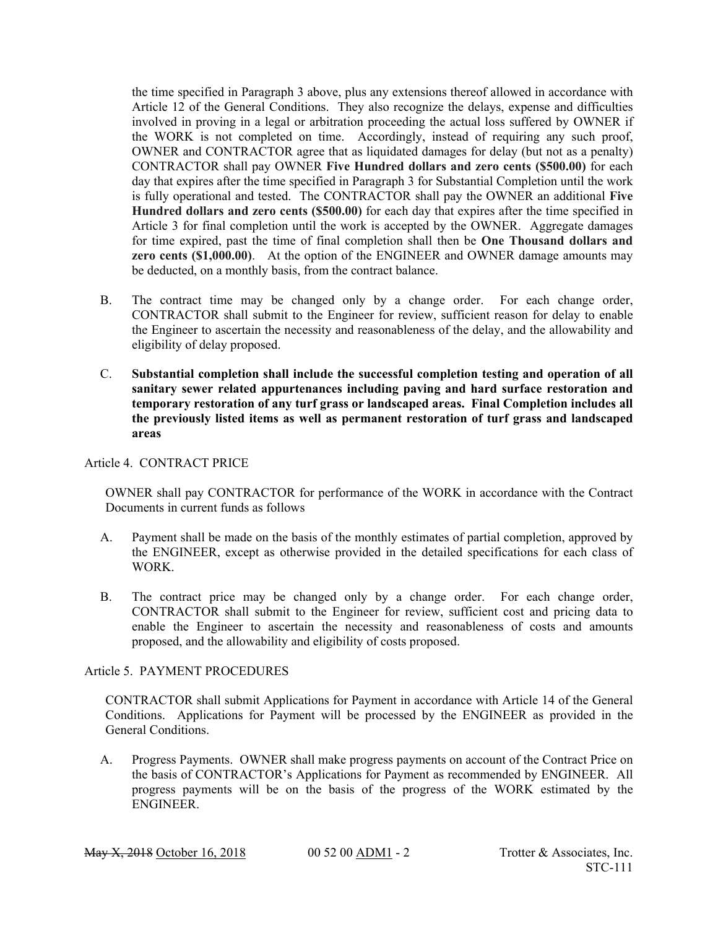the time specified in Paragraph 3 above, plus any extensions thereof allowed in accordance with Article 12 of the General Conditions. They also recognize the delays, expense and difficulties involved in proving in a legal or arbitration proceeding the actual loss suffered by OWNER if the WORK is not completed on time. Accordingly, instead of requiring any such proof, OWNER and CONTRACTOR agree that as liquidated damages for delay (but not as a penalty) CONTRACTOR shall pay OWNER **Five Hundred dollars and zero cents (\$500.00)** for each day that expires after the time specified in Paragraph 3 for Substantial Completion until the work is fully operational and tested. The CONTRACTOR shall pay the OWNER an additional **Five Hundred dollars and zero cents (\$500.00)** for each day that expires after the time specified in Article 3 for final completion until the work is accepted by the OWNER. Aggregate damages for time expired, past the time of final completion shall then be **One Thousand dollars and zero cents (\$1,000.00)**. At the option of the ENGINEER and OWNER damage amounts may be deducted, on a monthly basis, from the contract balance.

- B. The contract time may be changed only by a change order. For each change order, CONTRACTOR shall submit to the Engineer for review, sufficient reason for delay to enable the Engineer to ascertain the necessity and reasonableness of the delay, and the allowability and eligibility of delay proposed.
- C. **Substantial completion shall include the successful completion testing and operation of all sanitary sewer related appurtenances including paving and hard surface restoration and temporary restoration of any turf grass or landscaped areas. Final Completion includes all the previously listed items as well as permanent restoration of turf grass and landscaped areas**

Article 4. CONTRACT PRICE

OWNER shall pay CONTRACTOR for performance of the WORK in accordance with the Contract Documents in current funds as follows

- A. Payment shall be made on the basis of the monthly estimates of partial completion, approved by the ENGINEER, except as otherwise provided in the detailed specifications for each class of WORK.
- B. The contract price may be changed only by a change order. For each change order, CONTRACTOR shall submit to the Engineer for review, sufficient cost and pricing data to enable the Engineer to ascertain the necessity and reasonableness of costs and amounts proposed, and the allowability and eligibility of costs proposed.

#### Article 5. PAYMENT PROCEDURES

CONTRACTOR shall submit Applications for Payment in accordance with Article 14 of the General Conditions. Applications for Payment will be processed by the ENGINEER as provided in the General Conditions.

A. Progress Payments. OWNER shall make progress payments on account of the Contract Price on the basis of CONTRACTOR's Applications for Payment as recommended by ENGINEER. All progress payments will be on the basis of the progress of the WORK estimated by the ENGINEER.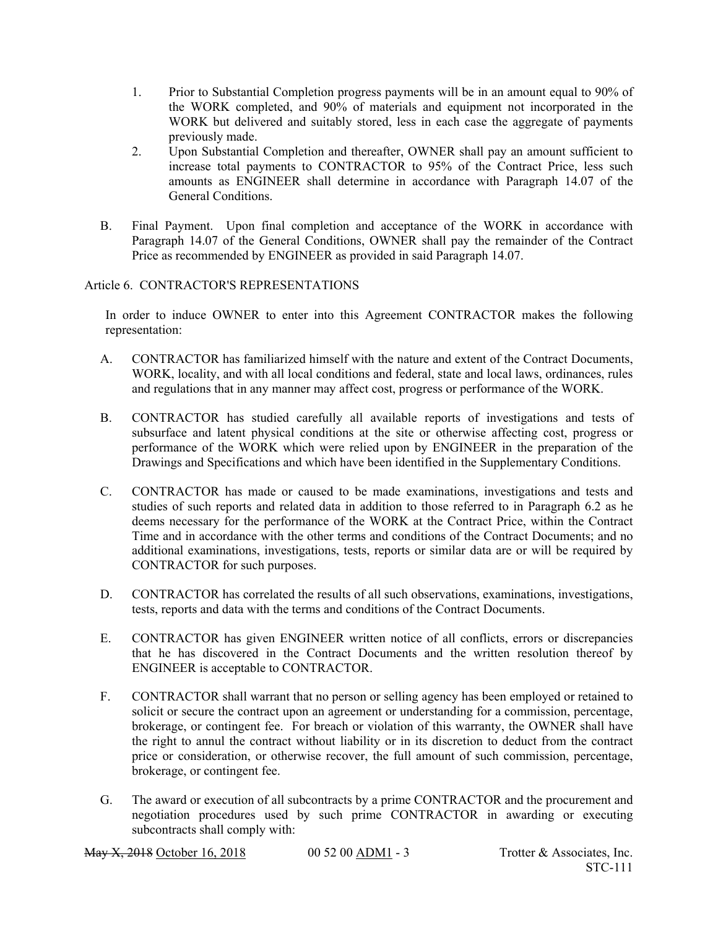- 1. Prior to Substantial Completion progress payments will be in an amount equal to 90% of the WORK completed, and 90% of materials and equipment not incorporated in the WORK but delivered and suitably stored, less in each case the aggregate of payments previously made.
- 2. Upon Substantial Completion and thereafter, OWNER shall pay an amount sufficient to increase total payments to CONTRACTOR to 95% of the Contract Price, less such amounts as ENGINEER shall determine in accordance with Paragraph 14.07 of the General Conditions.
- B. Final Payment. Upon final completion and acceptance of the WORK in accordance with Paragraph 14.07 of the General Conditions, OWNER shall pay the remainder of the Contract Price as recommended by ENGINEER as provided in said Paragraph 14.07.

#### Article 6. CONTRACTOR'S REPRESENTATIONS

In order to induce OWNER to enter into this Agreement CONTRACTOR makes the following representation:

- A. CONTRACTOR has familiarized himself with the nature and extent of the Contract Documents, WORK, locality, and with all local conditions and federal, state and local laws, ordinances, rules and regulations that in any manner may affect cost, progress or performance of the WORK.
- B. CONTRACTOR has studied carefully all available reports of investigations and tests of subsurface and latent physical conditions at the site or otherwise affecting cost, progress or performance of the WORK which were relied upon by ENGINEER in the preparation of the Drawings and Specifications and which have been identified in the Supplementary Conditions.
- C. CONTRACTOR has made or caused to be made examinations, investigations and tests and studies of such reports and related data in addition to those referred to in Paragraph 6.2 as he deems necessary for the performance of the WORK at the Contract Price, within the Contract Time and in accordance with the other terms and conditions of the Contract Documents; and no additional examinations, investigations, tests, reports or similar data are or will be required by CONTRACTOR for such purposes.
- D. CONTRACTOR has correlated the results of all such observations, examinations, investigations, tests, reports and data with the terms and conditions of the Contract Documents.
- E. CONTRACTOR has given ENGINEER written notice of all conflicts, errors or discrepancies that he has discovered in the Contract Documents and the written resolution thereof by ENGINEER is acceptable to CONTRACTOR.
- F. CONTRACTOR shall warrant that no person or selling agency has been employed or retained to solicit or secure the contract upon an agreement or understanding for a commission, percentage, brokerage, or contingent fee. For breach or violation of this warranty, the OWNER shall have the right to annul the contract without liability or in its discretion to deduct from the contract price or consideration, or otherwise recover, the full amount of such commission, percentage, brokerage, or contingent fee.
- G. The award or execution of all subcontracts by a prime CONTRACTOR and the procurement and negotiation procedures used by such prime CONTRACTOR in awarding or executing subcontracts shall comply with: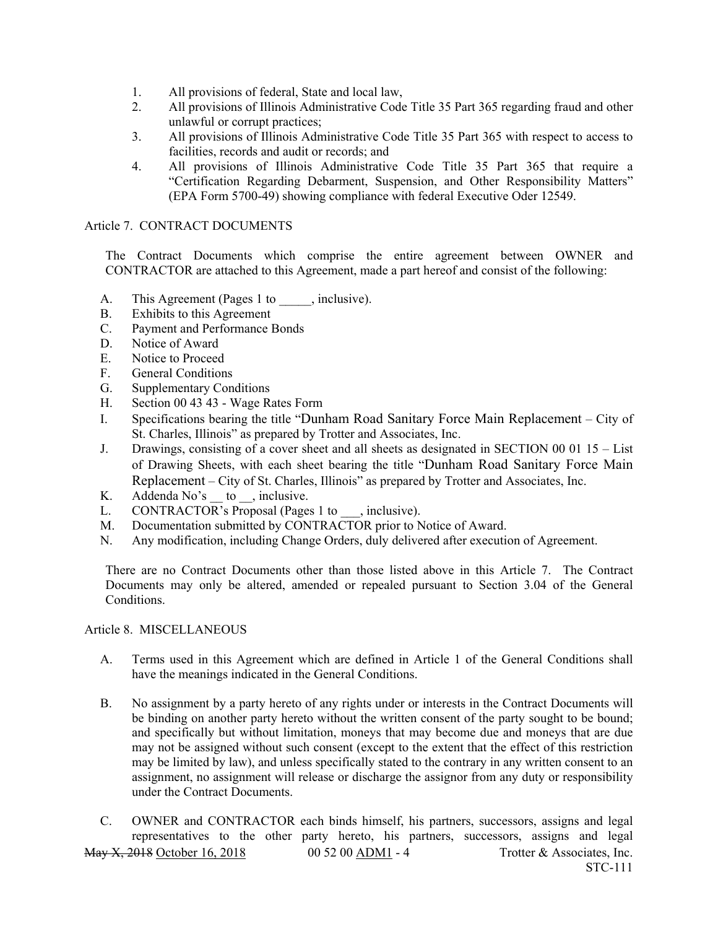- 1. All provisions of federal, State and local law,
- 2. All provisions of Illinois Administrative Code Title 35 Part 365 regarding fraud and other unlawful or corrupt practices;
- 3. All provisions of Illinois Administrative Code Title 35 Part 365 with respect to access to facilities, records and audit or records; and
- 4. All provisions of Illinois Administrative Code Title 35 Part 365 that require a "Certification Regarding Debarment, Suspension, and Other Responsibility Matters" (EPA Form 5700-49) showing compliance with federal Executive Oder 12549.

#### Article 7. CONTRACT DOCUMENTS

The Contract Documents which comprise the entire agreement between OWNER and CONTRACTOR are attached to this Agreement, made a part hereof and consist of the following:

- A. This Agreement (Pages 1 to , inclusive).
- B. Exhibits to this Agreement
- C. Payment and Performance Bonds
- D. Notice of Award
- E. Notice to Proceed
- F. General Conditions
- G. Supplementary Conditions
- H. Section 00 43 43 Wage Rates Form
- I. Specifications bearing the title "Dunham Road Sanitary Force Main Replacement City of St. Charles, Illinois" as prepared by Trotter and Associates, Inc.
- J. Drawings, consisting of a cover sheet and all sheets as designated in SECTION 00 01 15 List of Drawing Sheets, with each sheet bearing the title "Dunham Road Sanitary Force Main Replacement – City of St. Charles, Illinois" as prepared by Trotter and Associates, Inc.
- K. Addenda  $No's$  to  $\ldots$ , inclusive.
- L. CONTRACTOR's Proposal (Pages 1 to , inclusive).
- M. Documentation submitted by CONTRACTOR prior to Notice of Award.
- N. Any modification, including Change Orders, duly delivered after execution of Agreement.

There are no Contract Documents other than those listed above in this Article 7. The Contract Documents may only be altered, amended or repealed pursuant to Section 3.04 of the General Conditions.

#### Article 8. MISCELLANEOUS

- A. Terms used in this Agreement which are defined in Article 1 of the General Conditions shall have the meanings indicated in the General Conditions.
- B. No assignment by a party hereto of any rights under or interests in the Contract Documents will be binding on another party hereto without the written consent of the party sought to be bound; and specifically but without limitation, moneys that may become due and moneys that are due may not be assigned without such consent (except to the extent that the effect of this restriction may be limited by law), and unless specifically stated to the contrary in any written consent to an assignment, no assignment will release or discharge the assignor from any duty or responsibility under the Contract Documents.

May X, 2018 October 16, 2018 00 52 00 ADM1 - 4 Trotter & Associates, Inc. STC-111 C. OWNER and CONTRACTOR each binds himself, his partners, successors, assigns and legal representatives to the other party hereto, his partners, successors, assigns and legal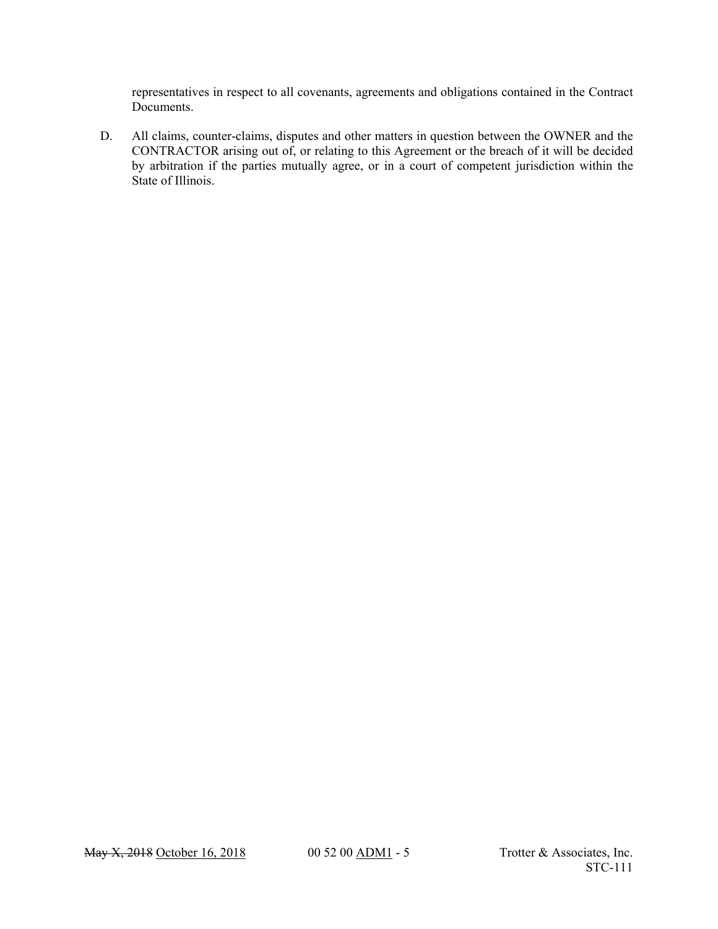representatives in respect to all covenants, agreements and obligations contained in the Contract Documents.

D. All claims, counter-claims, disputes and other matters in question between the OWNER and the CONTRACTOR arising out of, or relating to this Agreement or the breach of it will be decided by arbitration if the parties mutually agree, or in a court of competent jurisdiction within the State of Illinois.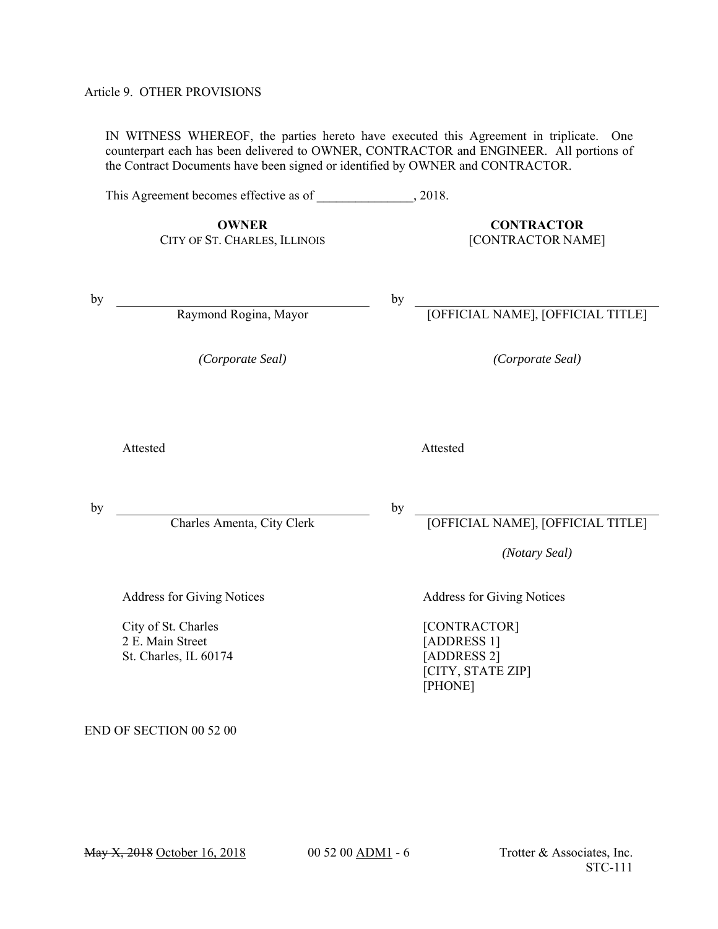#### Article 9. OTHER PROVISIONS

IN WITNESS WHEREOF, the parties hereto have executed this Agreement in triplicate. One counterpart each has been delivered to OWNER, CONTRACTOR and ENGINEER. All portions of the Contract Documents have been signed or identified by OWNER and CONTRACTOR.

This Agreement becomes effective as of  $\qquad \qquad , 2018.$ 

**OWNER CONTRACTOR** CITY OF ST. CHARLES, ILLINOIS [CONTRACTOR NAME]

by  $\qquad \qquad$ 

Raymond Rogina, Mayor [OFFICIAL NAME], [OFFICIAL TITLE]

*(Corporate Seal) (Corporate Seal)*

Attested Attested Attested

by  $\overline{\phantom{a}}$ 

by  $\overline{\phantom{0}}$ 

by

Charles Amenta, City Clerk <sup>by</sup> [OFFICIAL NAME], [OFFICIAL TITLE]

*(Notary Seal)*

Address for Giving Notices **Address for Giving Notices** Address for Giving Notices

City of St. Charles 2 E. Main Street St. Charles, IL 60174

[CONTRACTOR] [ADDRESS 1] [ADDRESS 2] [CITY, STATE ZIP] [PHONE]

END OF SECTION 00 52 00